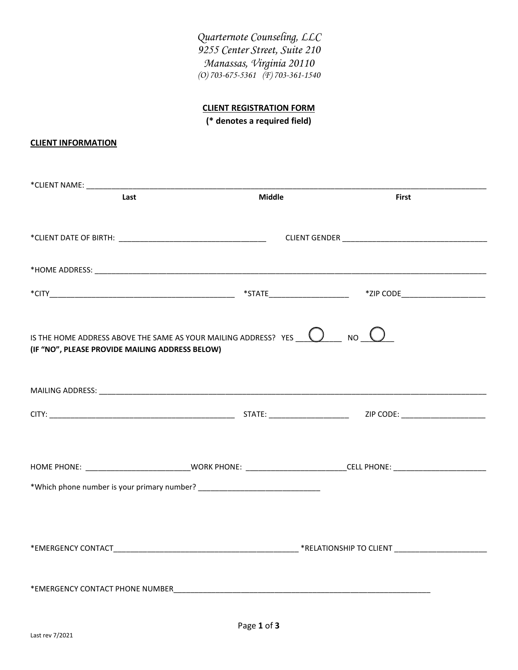*Quarternote Counseling, LLC 9255 Center Street, Suite 210 Manassas, Virginia 20110 (O) 703-675-5361 (F) 703-361-1540*

## **CLIENT REGISTRATION FORM**

**(\* denotes a required field)**

## **CLIENT INFORMATION**

| Last                                                                                                                               | <b>Middle</b> | <b>First</b> |  |
|------------------------------------------------------------------------------------------------------------------------------------|---------------|--------------|--|
|                                                                                                                                    |               |              |  |
|                                                                                                                                    |               |              |  |
|                                                                                                                                    |               |              |  |
|                                                                                                                                    |               |              |  |
|                                                                                                                                    |               |              |  |
|                                                                                                                                    |               |              |  |
|                                                                                                                                    |               |              |  |
| IS THE HOME ADDRESS ABOVE THE SAME AS YOUR MAILING ADDRESS? YES $\bigcirc$ YES $\bigcirc$ NO $\bigcirc$                            |               |              |  |
| (IF "NO", PLEASE PROVIDE MAILING ADDRESS BELOW)                                                                                    |               |              |  |
|                                                                                                                                    |               |              |  |
|                                                                                                                                    |               |              |  |
|                                                                                                                                    |               |              |  |
|                                                                                                                                    |               |              |  |
|                                                                                                                                    |               |              |  |
| HOME PHONE: ___________________________________WORK PHONE: __________________________CELL PHONE: _________________________________ |               |              |  |
|                                                                                                                                    |               |              |  |
|                                                                                                                                    |               |              |  |
|                                                                                                                                    |               |              |  |
|                                                                                                                                    |               |              |  |
|                                                                                                                                    |               |              |  |
|                                                                                                                                    |               |              |  |
| *EMERGENCY CONTACT PHONE NUMBER                                                                                                    |               |              |  |
|                                                                                                                                    |               |              |  |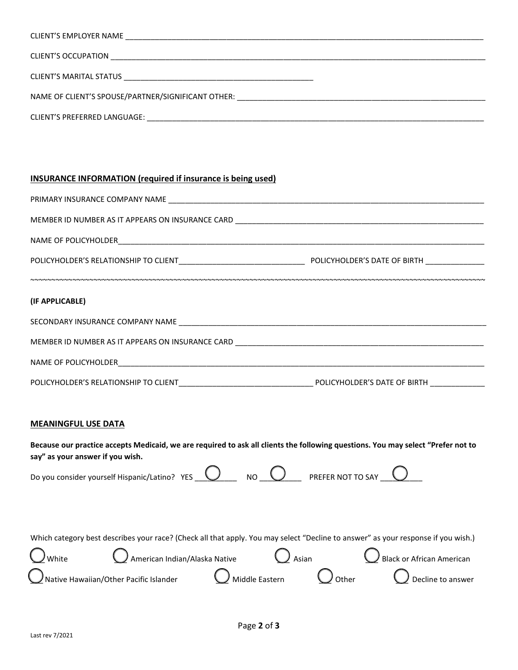| CLIENT'S EMPLOYER NAME                             |
|----------------------------------------------------|
| CLIENT'S OCCUPATION                                |
| CLIENT'S MARITAL STATUS                            |
| NAME OF CLIENT'S SPOUSE/PARTNER/SIGNIFICANT OTHER: |

CLIENT'S PREFERRED LANGUAGE: \_\_\_\_\_\_\_\_\_\_\_\_\_\_\_\_\_\_\_\_\_\_\_\_\_\_\_\_\_\_\_\_\_\_\_\_\_\_\_\_\_\_\_\_\_\_\_\_\_\_\_\_\_\_\_\_\_\_\_\_\_\_\_\_\_\_\_\_\_\_\_\_\_\_\_\_\_\_\_\_

## **INSURANCE INFORMATION (required if insurance is being used)**

| (IF APPLICABLE) |  |
|-----------------|--|
|                 |  |
|                 |  |
|                 |  |
|                 |  |

## **MEANINGFUL USE DATA**

**Because our practice accepts Medicaid, we are required to ask all clients the following questions. You may select "Prefer not to say" as your answer if you wish.** 

|                        | Do you consider yourself Hispanic/Latino? YES $\bigcirc$ NO $\bigcirc$ NO PREFER NOT TO SAY                                       |  |                             |  |
|------------------------|-----------------------------------------------------------------------------------------------------------------------------------|--|-----------------------------|--|
|                        | Which category best describes your race? (Check all that apply. You may select "Decline to answer" as your response if you wish.) |  |                             |  |
| $\boldsymbol{J}$ White | $\bigcirc$ American Indian/Alaska Native $\bigcirc$ Asian $\bigcirc$ Black or African American                                    |  |                             |  |
|                        | $\bigcirc$ Native Hawaiian/Other Pacific Islander $\bigcirc$ Middle Eastern $\bigcirc$ Other                                      |  | $\bigcup$ Decline to answer |  |